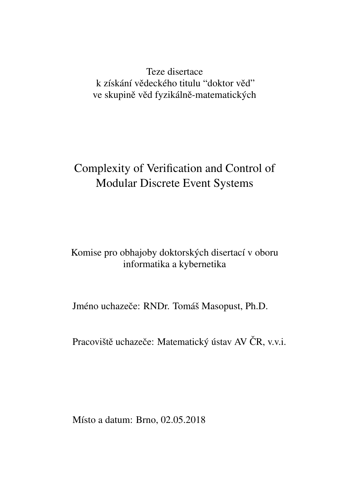Teze disertace k získání vědeckého titulu "doktor věď" ve skupině věd fyzikálně-matematických

# Complexity of Verification and Control of Modular Discrete Event Systems

### Komise pro obhajoby doktorských disertací v oboru informatika a kybernetika

Jméno uchazeče: RNDr. Tomáš Masopust, Ph.D.

Pracoviště uchazeče: Matematický ústav AV ČR, v.v.i.

Místo a datum: Brno, 02.05.2018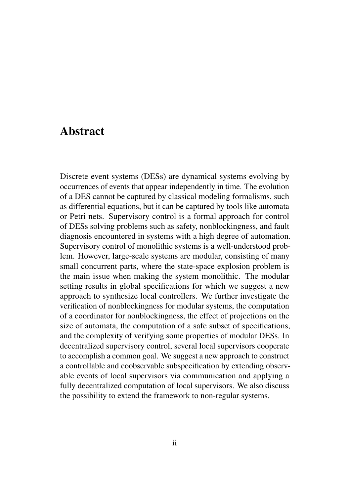### Abstract

Discrete event systems (DESs) are dynamical systems evolving by occurrences of events that appear independently in time. The evolution of a DES cannot be captured by classical modeling formalisms, such as differential equations, but it can be captured by tools like automata or Petri nets. Supervisory control is a formal approach for control of DESs solving problems such as safety, nonblockingness, and fault diagnosis encountered in systems with a high degree of automation. Supervisory control of monolithic systems is a well-understood problem. However, large-scale systems are modular, consisting of many small concurrent parts, where the state-space explosion problem is the main issue when making the system monolithic. The modular setting results in global specifications for which we suggest a new approach to synthesize local controllers. We further investigate the verification of nonblockingness for modular systems, the computation of a coordinator for nonblockingness, the effect of projections on the size of automata, the computation of a safe subset of specifications, and the complexity of verifying some properties of modular DESs. In decentralized supervisory control, several local supervisors cooperate to accomplish a common goal. We suggest a new approach to construct a controllable and coobservable subspecification by extending observable events of local supervisors via communication and applying a fully decentralized computation of local supervisors. We also discuss the possibility to extend the framework to non-regular systems.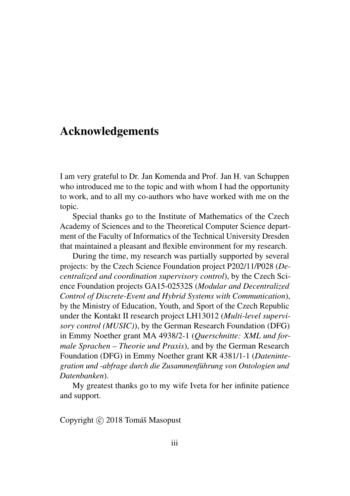## Acknowledgements

I am very grateful to Dr. Jan Komenda and Prof. Jan H. van Schuppen who introduced me to the topic and with whom I had the opportunity to work, and to all my co-authors who have worked with me on the topic.

Special thanks go to the Institute of Mathematics of the Czech Academy of Sciences and to the Theoretical Computer Science department of the Faculty of Informatics of the Technical University Dresden that maintained a pleasant and flexible environment for my research.

During the time, my research was partially supported by several projects: by the Czech Science Foundation project P202/11/P028 (*Decentralized and coordination supervisory control*), by the Czech Science Foundation projects GA15-02532S (*Modular and Decentralized Control of Discrete-Event and Hybrid Systems with Communication*), by the Ministry of Education, Youth, and Sport of the Czech Republic under the Kontakt II research project LH13012 (*Multi-level supervisory control (MUSIC)*), by the German Research Foundation (DFG) in Emmy Noether grant MA 4938/2-1 (*Querschnitte: XML und formale Sprachen – Theorie und Praxis*), and by the German Research Foundation (DFG) in Emmy Noether grant KR 4381/1-1 (*Datenintegration und -abfrage durch die Zusammenfuhrung von Ontologien und ¨ Datenbanken*).

My greatest thanks go to my wife Iveta for her infinite patience and support.

Copyright © 2018 Tomáš Masopust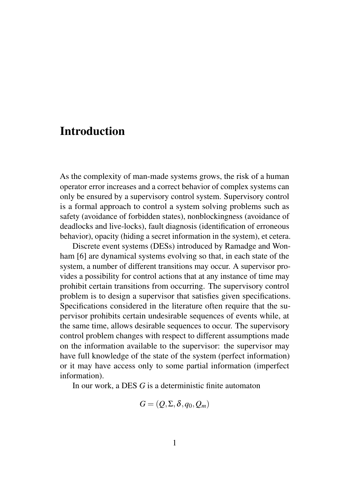## **Introduction**

As the complexity of man-made systems grows, the risk of a human operator error increases and a correct behavior of complex systems can only be ensured by a supervisory control system. Supervisory control is a formal approach to control a system solving problems such as safety (avoidance of forbidden states), nonblockingness (avoidance of deadlocks and live-locks), fault diagnosis (identification of erroneous behavior), opacity (hiding a secret information in the system), et cetera.

Discrete event systems (DESs) introduced by Ramadge and Wonham [6] are dynamical systems evolving so that, in each state of the system, a number of different transitions may occur. A supervisor provides a possibility for control actions that at any instance of time may prohibit certain transitions from occurring. The supervisory control problem is to design a supervisor that satisfies given specifications. Specifications considered in the literature often require that the supervisor prohibits certain undesirable sequences of events while, at the same time, allows desirable sequences to occur. The supervisory control problem changes with respect to different assumptions made on the information available to the supervisor: the supervisor may have full knowledge of the state of the system (perfect information) or it may have access only to some partial information (imperfect information).

In our work, a DES *G* is a deterministic finite automaton

$$
G=(Q,\Sigma,\delta,q_0,Q_m)
$$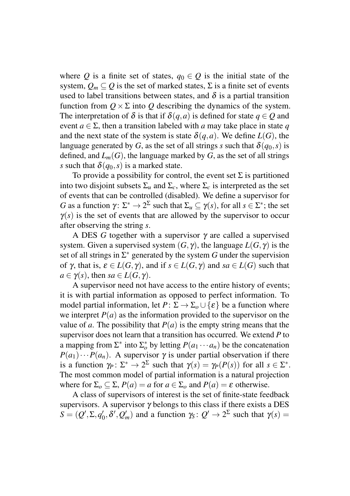where *Q* is a finite set of states,  $q_0 \in Q$  is the initial state of the system,  $Q_m \subset Q$  is the set of marked states,  $\Sigma$  is a finite set of events used to label transitions between states, and  $\delta$  is a partial transition function from  $Q \times \Sigma$  into *Q* describing the dynamics of the system. The interpretation of  $\delta$  is that if  $\delta(q, a)$  is defined for state  $q \in Q$  and event  $a \in \Sigma$ , then a transition labeled with *a* may take place in state *q* and the next state of the system is state  $\delta(a,a)$ . We define  $L(G)$ , the language generated by *G*, as the set of all strings *s* such that  $\delta(q_0, s)$  is defined, and  $L_m(G)$ , the language marked by *G*, as the set of all strings *s* such that  $\delta(q_0, s)$  is a marked state.

To provide a possibility for control, the event set  $\Sigma$  is partitioned into two disjoint subsets  $\Sigma_u$  and  $\Sigma_c$ , where  $\Sigma_c$  is interpreted as the set of events that can be controlled (disabled). We define a supervisor for *G* as a function  $\gamma: \Sigma^* \to 2^{\Sigma}$  such that  $\Sigma_u \subseteq \gamma(s)$ , for all  $s \in \Sigma^*$ ; the set  $\gamma(s)$  is the set of events that are allowed by the supervisor to occur after observing the string *s*.

A DES *G* together with a supervisor γ are called a supervised system. Given a supervised system  $(G, \gamma)$ , the language  $L(G, \gamma)$  is the set of all strings in  $\Sigma^*$  generated by the system G under the supervision of γ, that is, ε ∈ *L*(*G*, γ), and if *s* ∈ *L*(*G*, γ) and *sa* ∈ *L*(*G*) such that  $a \in \gamma(s)$ , then  $sa \in L(G, \gamma)$ .

A supervisor need not have access to the entire history of events; it is with partial information as opposed to perfect information. To model partial information, let  $P: \Sigma \to \Sigma_0 \cup {\{\varepsilon\}}$  be a function where we interpret  $P(a)$  as the information provided to the supervisor on the value of *a*. The possibility that  $P(a)$  is the empty string means that the supervisor does not learn that a transition has occurred. We extend *P* to a mapping from  $\Sigma^*$  into  $\Sigma_o^*$  by letting  $P(a_1 \cdots a_n)$  be the concatenation  $P(a_1) \cdots P(a_n)$ . A supervisor  $\gamma$  is under partial observation if there is a function  $\gamma_P \colon \Sigma^* \to 2^{\Sigma}$  such that  $\gamma(s) = \gamma_P(P(s))$  for all  $s \in \Sigma^*$ . The most common model of partial information is a natural projection where for  $\Sigma_o \subset \Sigma$ ,  $P(a) = a$  for  $a \in \Sigma_o$  and  $P(a) = \varepsilon$  otherwise.

A class of supervisors of interest is the set of finite-state feedback supervisors. A supervisor  $\gamma$  belongs to this class if there exists a DES  $S = (Q', \Sigma, q'_0, \delta', Q'_m)$  and a function  $\gamma_S : Q' \to 2^{\Sigma}$  such that  $\gamma(s) =$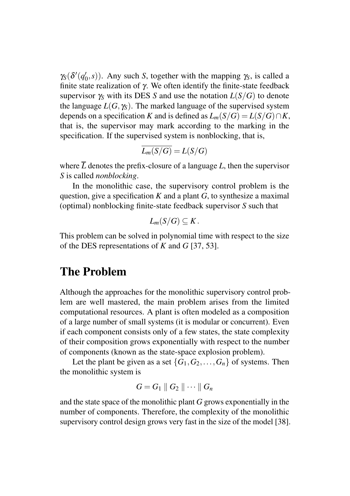$\gamma_S(\delta'(q'_0, s))$ . Any such *S*, together with the mapping  $\gamma_S$ , is called a finite state realization of γ. We often identify the finite-state feedback supervisor  $\gamma_S$  with its DES *S* and use the notation  $L(S/G)$  to denote the language  $L(G, \gamma_S)$ . The marked language of the supervised system depends on a specification *K* and is defined as  $L_m(S/G) = L(S/G) \cap K$ , that is, the supervisor may mark according to the marking in the specification. If the supervised system is nonblocking, that is,

$$
\overline{L_m(S/G)} = L(S/G)
$$

where  $\overline{L}$  denotes the prefix-closure of a language  $L$ , then the supervisor *S* is called *nonblocking*.

In the monolithic case, the supervisory control problem is the question, give a specification  $K$  and a plant  $G$ , to synthesize a maximal (optimal) nonblocking finite-state feedback supervisor *S* such that

$$
L_m(S/G)\subseteq K.
$$

This problem can be solved in polynomial time with respect to the size of the DES representations of *K* and *G* [37, 53].

## The Problem

Although the approaches for the monolithic supervisory control problem are well mastered, the main problem arises from the limited computational resources. A plant is often modeled as a composition of a large number of small systems (it is modular or concurrent). Even if each component consists only of a few states, the state complexity of their composition grows exponentially with respect to the number of components (known as the state-space explosion problem).

Let the plant be given as a set  $\{G_1, G_2, \ldots, G_n\}$  of systems. Then the monolithic system is

$$
G=G_1\parallel G_2\parallel\cdots\parallel G_n
$$

and the state space of the monolithic plant *G* grows exponentially in the number of components. Therefore, the complexity of the monolithic supervisory control design grows very fast in the size of the model [38].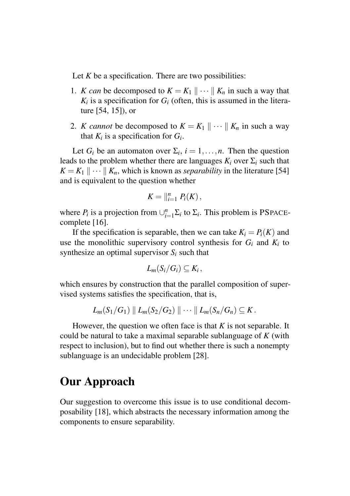Let *K* be a specification. There are two possibilities:

- 1. *K* can be decomposed to  $K = K_1 || \cdots || K_n$  in such a way that  $K_i$  is a specification for  $G_i$  (often, this is assumed in the literature [54, 15]), or
- 2. *K cannot* be decomposed to  $K = K_1 \parallel \cdots \parallel K_n$  in such a way that  $K_i$  is a specification for  $G_i$ .

Let  $G_i$  be an automaton over  $\Sigma_i$ ,  $i = 1, ..., n$ . Then the question leads to the problem whether there are languages  $K_i$  over  $\Sigma_i$  such that  $K = K_1 \parallel \cdots \parallel K_n$ , which is known as *separability* in the literature [54] and is equivalent to the question whether

$$
K=\big\|_{i=1}^n P_i(K)\,
$$

where  $P_i$  is a projection from  $\bigcup_{i=1}^n \Sigma_i$  to  $\Sigma_i$ . This problem is PSPACEcomplete [16].

If the specification is separable, then we can take  $K_i = P_i(K)$  and use the monolithic supervisory control synthesis for  $G_i$  and  $K_i$  to synthesize an optimal supervisor *S<sup>i</sup>* such that

$$
L_m(S_i/G_i)\subseteq K_i\,,
$$

which ensures by construction that the parallel composition of supervised systems satisfies the specification, that is,

$$
L_m(S_1/G_1) \parallel L_m(S_2/G_2) \parallel \cdots \parallel L_m(S_n/G_n) \subseteq K.
$$

However, the question we often face is that *K* is not separable. It could be natural to take a maximal separable sublanguage of *K* (with respect to inclusion), but to find out whether there is such a nonempty sublanguage is an undecidable problem [28].

## Our Approach

Our suggestion to overcome this issue is to use conditional decomposability [18], which abstracts the necessary information among the components to ensure separability.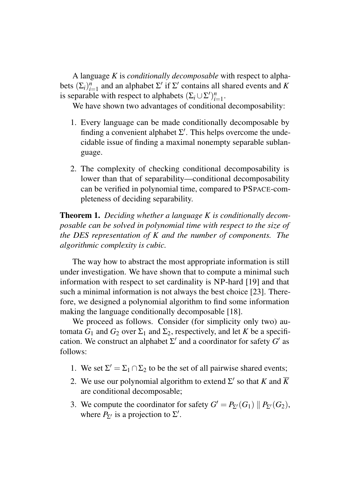A language *K* is *conditionally decomposable* with respect to alphabets  $(\Sigma_i)_{i=1}^n$  and an alphabet  $\Sigma'$  if  $\Sigma'$  contains all shared events and *K* is separable with respect to alphabets  $(\Sigma_i \cup \Sigma')_{i=1}^n$ .

We have shown two advantages of conditional decomposability:

- 1. Every language can be made conditionally decomposable by finding a convenient alphabet  $\Sigma'$ . This helps overcome the undecidable issue of finding a maximal nonempty separable sublanguage.
- 2. The complexity of checking conditional decomposability is lower than that of separability—conditional decomposability can be verified in polynomial time, compared to PSPACE-completeness of deciding separability.

Theorem 1. *Deciding whether a language K is conditionally decomposable can be solved in polynomial time with respect to the size of the DES representation of K and the number of components. The algorithmic complexity is cubic.*

The way how to abstract the most appropriate information is still under investigation. We have shown that to compute a minimal such information with respect to set cardinality is NP-hard [19] and that such a minimal information is not always the best choice [23]. Therefore, we designed a polynomial algorithm to find some information making the language conditionally decomposable [18].

We proceed as follows. Consider (for simplicity only two) automata  $G_1$  and  $G_2$  over  $\Sigma_1$  and  $\Sigma_2$ , respectively, and let *K* be a specification. We construct an alphabet  $\Sigma'$  and a coordinator for safety  $G'$  as follows:

- 1. We set  $\Sigma' = \Sigma_1 \cap \Sigma_2$  to be the set of all pairwise shared events;
- 2. We use our polynomial algorithm to extend  $\Sigma'$  so that *K* and  $\overline{K}$ are conditional decomposable;
- 3. We compute the coordinator for safety  $G' = P_{\Sigma'}(G_1) || P_{\Sigma'}(G_2)$ , where  $P_{\Sigma}$  is a projection to  $\Sigma'$ .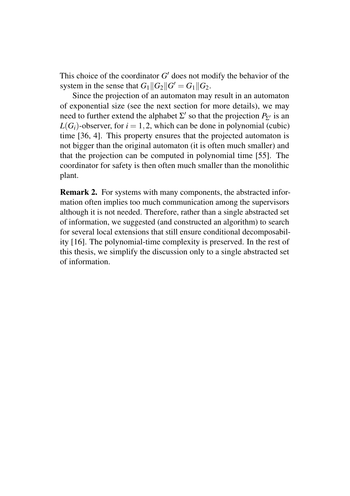This choice of the coordinator  $G'$  does not modify the behavior of the system in the sense that  $G_1||G_2||G' = G_1||G_2$ .

Since the projection of an automaton may result in an automaton of exponential size (see the next section for more details), we may need to further extend the alphabet  $\Sigma'$  so that the projection  $P_{\Sigma'}$  is an  $L(G_i)$ -observer, for  $i = 1, 2$ , which can be done in polynomial (cubic) time [36, 4]. This property ensures that the projected automaton is not bigger than the original automaton (it is often much smaller) and that the projection can be computed in polynomial time [55]. The coordinator for safety is then often much smaller than the monolithic plant.

Remark 2. For systems with many components, the abstracted information often implies too much communication among the supervisors although it is not needed. Therefore, rather than a single abstracted set of information, we suggested (and constructed an algorithm) to search for several local extensions that still ensure conditional decomposability [16]. The polynomial-time complexity is preserved. In the rest of this thesis, we simplify the discussion only to a single abstracted set of information.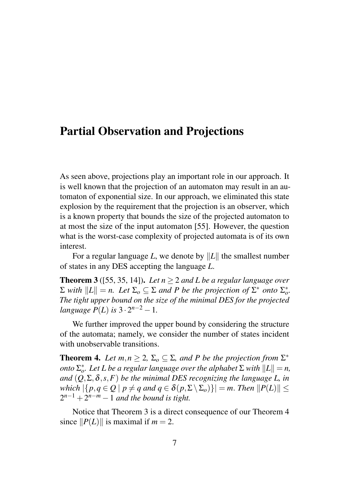### Partial Observation and Projections

As seen above, projections play an important role in our approach. It is well known that the projection of an automaton may result in an automaton of exponential size. In our approach, we eliminated this state explosion by the requirement that the projection is an observer, which is a known property that bounds the size of the projected automaton to at most the size of the input automaton [55]. However, the question what is the worst-case complexity of projected automata is of its own interest.

For a regular language *L*, we denote by  $||L||$  the smallest number of states in any DES accepting the language *L*.

**Theorem 3** ([55, 35, 14]). Let  $n > 2$  and L be a regular language over  $\Sigma$  *with*  $||L|| = n$ . Let  $\Sigma_o \subseteq \Sigma$  *and P be the projection of*  $\Sigma^*$  *onto*  $\Sigma_o^*$ *. The tight upper bound on the size of the minimal DES for the projected language*  $P(L)$  *is*  $3 \cdot 2^{n-2} - 1$ *.* 

We further improved the upper bound by considering the structure of the automata; namely, we consider the number of states incident with unobservable transitions.

**Theorem 4.** Let  $m, n \geq 2$ ,  $\Sigma_o \subseteq \Sigma$ , and P be the projection from  $\Sigma^*$ *onto*  $\Sigma_o^*$ . Let *L be a regular language over the alphabet*  $\Sigma$  *with*  $||L|| = n$ , *and*  $(Q, \Sigma, \delta, s, F)$  *be the minimal DES recognizing the language L, in which*  $|\{p, q \in Q \mid p \neq q \text{ and } q \in \delta(p, \Sigma \setminus \Sigma_o)\}| = m$ . *Then*  $||P(L)|| \le$  $2^{n-1} + 2^{n-m} - 1$  *and the bound is tight.* 

Notice that Theorem 3 is a direct consequence of our Theorem 4 since  $||P(L)||$  is maximal if  $m = 2$ .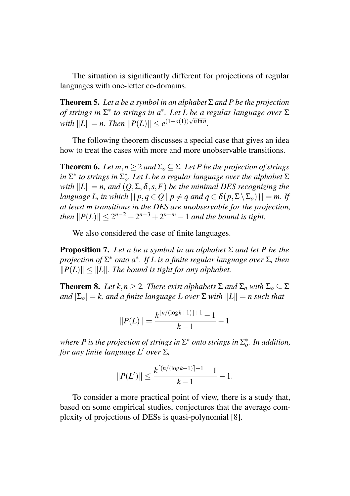The situation is significantly different for projections of regular languages with one-letter co-domains.

**Theorem 5.** Let a be a symbol in an alphabet  $\Sigma$  and P be the projection *of strings in* Σ ∗ *to strings in a* ∗ *. Let L be a regular language over* Σ  $\frac{dx}{dt} = \frac{dx}{dt}$  *n. Then*  $||P(L)|| \leq e^{(1+o(1))\sqrt{n \ln n}}$ .

The following theorem discusses a special case that gives an idea how to treat the cases with more and more unobservable transitions.

**Theorem 6.** *Let*  $m, n \geq 2$  *and*  $\Sigma_0 \subseteq \Sigma$ *. Let P be the projection of strings*  $\sum^*$  *to strings in*  $\Sigma_o^*$ *. Let L be a regular language over the alphabet*  $\Sigma$ *with*  $||L|| = n$ , and  $(Q, \Sigma, \delta, s, F)$  *be the minimal DES recognizing the language L, in which*  $|\{p, q \in O \mid p \neq q \text{ and } q \in \delta(p, \Sigma \setminus \Sigma_0)\}| = m$ . If *at least m transitions in the DES are unobservable for the projection, then*  $||P(L)|| \leq 2^{n-2} + 2^{n-3} + 2^{n-m} - 1$  *and the bound is tight.* 

We also considered the case of finite languages.

**Proposition 7.** Let a be a symbol in an alphabet  $\Sigma$  and let P be the *projection of* Σ <sup>∗</sup> *onto a* ∗ *. If L is a finite regular language over* Σ*, then*  $||P(L)|| < ||L||$ . The bound is tight for any alphabet.

**Theorem 8.** *Let*  $k, n \geq 2$ *. There exist alphabets*  $\Sigma$  *and*  $\Sigma$ <sub>*o*</sub> *with*  $\Sigma$ <sub>*o*</sub>  $\subseteq$   $\Sigma$ *and*  $|\Sigma_o| = k$ , *and a finite language L over*  $\Sigma$  *with*  $||L|| = n$  *such that* 

$$
||P(L)|| = \frac{k^{\lfloor n/(\log k + 1)\rfloor + 1} - 1}{k - 1} - 1
$$

where  $P$  is the projection of strings in  $\Sigma^*$  onto strings in  $\Sigma^*_o$ . In addition, *for any finite language L' over*  $\Sigma$ ,

$$
||P(L')|| \leq \frac{k^{\lceil (n/(\log k + 1)) + 1} - 1}{k - 1} - 1.
$$

To consider a more practical point of view, there is a study that, based on some empirical studies, conjectures that the average complexity of projections of DESs is quasi-polynomial [8].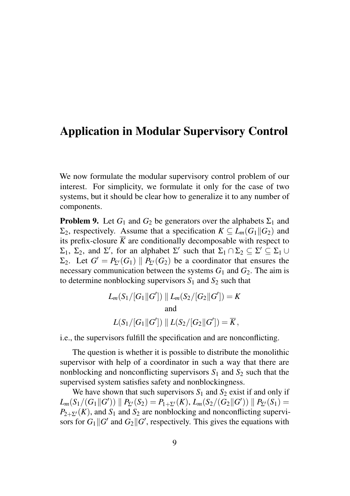## Application in Modular Supervisory Control

We now formulate the modular supervisory control problem of our interest. For simplicity, we formulate it only for the case of two systems, but it should be clear how to generalize it to any number of components.

**Problem 9.** Let  $G_1$  and  $G_2$  be generators over the alphabets  $\Sigma_1$  and Σ<sub>2</sub>, respectively. Assume that a specification *K* ⊂ *L<sub>m</sub>*(*G*<sub>1</sub> $\parallel$ *G*<sub>2</sub>) and its prefix-closure  $\overline{K}$  are conditionally decomposable with respect to  $\Sigma_1$ ,  $\Sigma_2$ , and  $\Sigma'$ , for an alphabet  $\Sigma'$  such that  $\Sigma_1 \cap \Sigma_2 \subseteq \Sigma' \subseteq \Sigma_1 \cup$  $\Sigma_2$ . Let  $G' = P_{\Sigma'}(G_1) \parallel P_{\Sigma'}(G_2)$  be a coordinator that ensures the necessary communication between the systems  $G_1$  and  $G_2$ . The aim is to determine nonblocking supervisors  $S_1$  and  $S_2$  such that

$$
L_m(S_1/[G_1||G']) || L_m(S_2/[G_2||G']) = K
$$
  
and  

$$
L(S_1/[G_1||G']) || L(S_2/[G_2||G']) = \overline{K},
$$

i.e., the supervisors fulfill the specification and are nonconflicting.

The question is whether it is possible to distribute the monolithic supervisor with help of a coordinator in such a way that there are nonblocking and nonconflicting supervisors  $S_1$  and  $S_2$  such that the supervised system satisfies safety and nonblockingness.

We have shown that such supervisors  $S_1$  and  $S_2$  exist if and only if  $L_m(S_1/(G_1||G'))$   $\parallel P_{\Sigma'}(S_2) = P_{1+\Sigma'}(K), L_m(S_2/(G_2||G'))$   $\parallel P_{\Sigma'}(S_1) =$  $P_{2+\Sigma'}(K)$ , and  $S_1$  and  $S_2$  are nonblocking and nonconflicting supervisors for  $G_1$  || $G'$  and  $G_2$ || $G'$ , respectively. This gives the equations with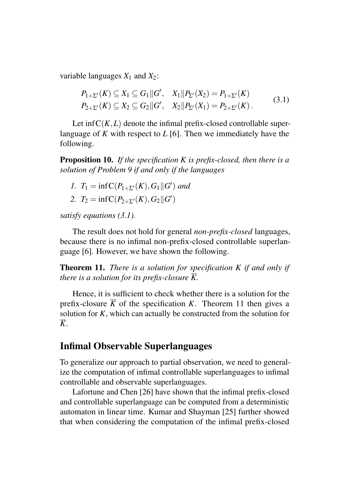variable languages  $X_1$  and  $X_2$ :

$$
P_{1+\Sigma'}(K) \subseteq X_1 \subseteq G_1 || G', \quad X_1 || P_{\Sigma'}(X_2) = P_{1+\Sigma'}(K)
$$
  
\n
$$
P_{2+\Sigma'}(K) \subseteq X_2 \subseteq G_2 || G', \quad X_2 || P_{\Sigma'}(X_1) = P_{2+\Sigma'}(K).
$$
\n(3.1)

Let  $\inf C(K,L)$  denote the infimal prefix-closed controllable superlanguage of *K* with respect to *L* [6]. Then we immediately have the following.

Proposition 10. *If the specification K is prefix-closed, then there is a solution of Problem 9 if and only if the languages*

- *1.*  $T_1 = \inf C(P_{1+\Sigma'}(K), G_1 || G')$  *and*
- 2.  $T_2 = \inf C(P_{2+\Sigma'}(K), G_2 || G')$

*satisfy equations (3.1).*

The result does not hold for general *non-prefix-closed* languages, because there is no infimal non-prefix-closed controllable superlanguage [6]. However, we have shown the following.

Theorem 11. *There is a solution for specification K if and only if there is a solution for its prefix-closure*  $\overline{K}$ *.* 

Hence, it is sufficient to check whether there is a solution for the prefix-closure  $\overline{K}$  of the specification *K*. Theorem 11 then gives a solution for *K*, which can actually be constructed from the solution for *K*.

#### Infimal Observable Superlanguages

To generalize our approach to partial observation, we need to generalize the computation of infimal controllable superlanguages to infimal controllable and observable superlanguages.

Lafortune and Chen [26] have shown that the infimal prefix-closed and controllable superlanguage can be computed from a deterministic automaton in linear time. Kumar and Shayman [25] further showed that when considering the computation of the infimal prefix-closed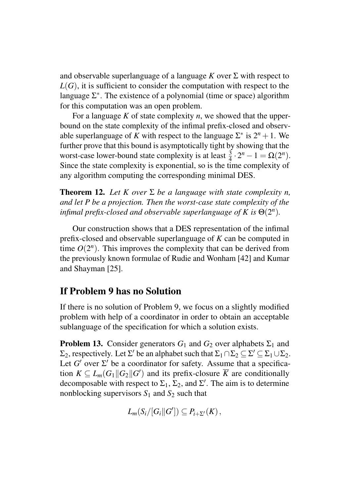and observable superlanguage of a language *K* over Σ with respect to  $L(G)$ , it is sufficient to consider the computation with respect to the language  $\Sigma^*$ . The existence of a polynomial (time or space) algorithm for this computation was an open problem.

For a language *K* of state complexity *n*, we showed that the upperbound on the state complexity of the infimal prefix-closed and observable superlanguage of *K* with respect to the language  $\Sigma^*$  is  $2^n + 1$ . We further prove that this bound is asymptotically tight by showing that the worst-case lower-bound state complexity is at least  $\frac{3}{4} \cdot 2^n - 1 = \Omega(2^n)$ . Since the state complexity is exponential, so is the time complexity of any algorithm computing the corresponding minimal DES.

**Theorem 12.** Let *K* over  $\Sigma$  be a language with state complexity *n*, *and let P be a projection. Then the worst-case state complexity of the infimal prefix-closed and observable superlanguage of K is*  $\Theta(2^n)$ *.* 

Our construction shows that a DES representation of the infimal prefix-closed and observable superlanguage of *K* can be computed in time  $O(2^n)$ . This improves the complexity that can be derived from the previously known formulae of Rudie and Wonham [42] and Kumar and Shayman [25].

#### If Problem 9 has no Solution

If there is no solution of Problem 9, we focus on a slightly modified problem with help of a coordinator in order to obtain an acceptable sublanguage of the specification for which a solution exists.

**Problem 13.** Consider generators  $G_1$  and  $G_2$  over alphabets  $\Sigma_1$  and  $\Sigma_2$ , respectively. Let  $\Sigma'$  be an alphabet such that  $\Sigma_1 \cap \Sigma_2 \subseteq \Sigma' \subseteq \Sigma_1 \cup \Sigma_2$ . Let  $G'$  over  $\Sigma'$  be a coordinator for safety. Assume that a specification  $K \subseteq L_m(G_1 \| G_2 \| G')$  and its prefix-closure  $\overline{K}$  are conditionally decomposable with respect to  $\Sigma_1$ ,  $\Sigma_2$ , and  $\Sigma'$ . The aim is to determine nonblocking supervisors  $S_1$  and  $S_2$  such that

$$
L_m(S_i/[G_i||G'])\subseteq P_{i+\Sigma'}(K),
$$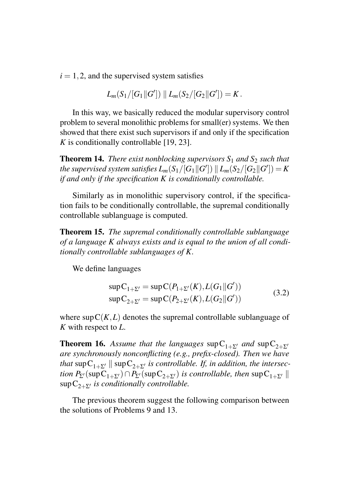$i = 1, 2$ , and the supervised system satisfies

$$
L_m(S_1/[G_1\|G'])\|L_m(S_2/[G_2\|G'])=K.
$$

In this way, we basically reduced the modular supervisory control problem to several monolithic problems for small(er) systems. We then showed that there exist such supervisors if and only if the specification *K* is conditionally controllable [19, 23].

**Theorem 14.** *There exist nonblocking supervisors*  $S_1$  *and*  $S_2$  *such that* the supervised system satisfies  $L_m(\mathrm{S}_1/[\![G]\!]\!]\parallel L_m(\mathrm{S}_2/[\![G_2]\!]\!]\!G'])=K$ *if and only if the specification K is conditionally controllable.*

Similarly as in monolithic supervisory control, if the specification fails to be conditionally controllable, the supremal conditionally controllable sublanguage is computed.

Theorem 15. *The supremal conditionally controllable sublanguage of a language K always exists and is equal to the union of all conditionally controllable sublanguages of K.*

We define languages

$$
sup C_{1+2'} = sup C(P_{1+2'}(K), L(G_1 || G'))
$$
  
\n
$$
sup C_{2+2'} = sup C(P_{2+2'}(K), L(G_2 || G'))
$$
\n(3.2)

where  $\sup C(K,L)$  denotes the supremal controllable sublanguage of *K* with respect to *L*.

**Theorem 16.** Assume that the languages sup  $C_{1+{\Sigma'}}$  and sup  $C_{2+{\Sigma'}}$ *are synchronously nonconflicting (e.g., prefix-closed). Then we have that*  $\sup C_{1+\Sigma'}$  ||  $\sup C_{2+\Sigma'}$  *is controllable. If, in addition, the intersection*  $P_{\Sigma}(\sup C_{1+\Sigma'}) \cap P_{\Sigma'}(\sup C_{2+\Sigma'})$  *is controllable, then* sup  $C_{1+\Sigma'}$  ||  $\sup C_{2+\Sigma'}$  *is conditionally controllable.* 

The previous theorem suggest the following comparison between the solutions of Problems 9 and 13.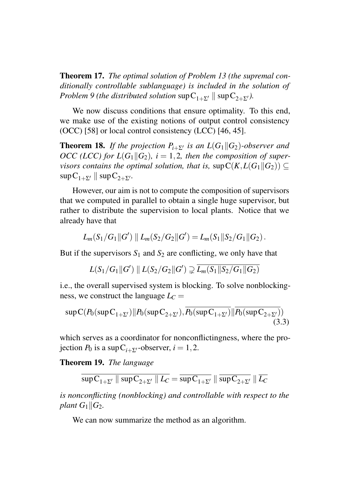Theorem 17. *The optimal solution of Problem 13 (the supremal conditionally controllable sublanguage) is included in the solution of Problem 9 (the distributed solution*  $\sup C_{1+Z'} || \sup C_{2+Z'}$ ).

We now discuss conditions that ensure optimality. To this end, we make use of the existing notions of output control consistency (OCC) [58] or local control consistency (LCC) [46, 45].

**Theorem 18.** *If the projection*  $P_{i+{\Sigma'}}$  *is an*  $L(G_1||G_2)$ *-observer and OCC* (*LCC*) for  $L(G_1||G_2)$ ,  $i = 1, 2$ , then the composition of super*visors contains the optimal solution, that is, sup* $C(K, L(G_1||G_2)) \subset$  $\sup C_{1+\Sigma'}$  ||  $\sup C_{2+\Sigma'}$ .

However, our aim is not to compute the composition of supervisors that we computed in parallel to obtain a single huge supervisor, but rather to distribute the supervision to local plants. Notice that we already have that

$$
L_m(S_1/G_1 \| G') \| L_m(S_2/G_2 \| G') = L_m(S_1 \| S_2/G_1 \| G_2).
$$

But if the supervisors  $S_1$  and  $S_2$  are conflicting, we only have that

$$
L(S_1/G_1 \| G') \parallel L(S_2/G_2 \| G') \supsetneq \overline{L_m(S_1 \| S_2/G_1 \| G_2)}
$$

i.e., the overall supervised system is blocking. To solve nonblockingness, we construct the language  $L_C =$ 

$$
\sup C(P_0(\sup C_{1+\Sigma'})||P_0(\sup C_{2+\Sigma'}),\overline{P_0(\sup C_{1+\Sigma'})}||P_0(\sup C_{2+\Sigma'}))
$$
\n(3.3)

which serves as a coordinator for nonconflictingness, where the projection  $P_0$  is a sup  $C_{i+{\Sigma'}}$ -observer,  $i = 1, 2$ .

Theorem 19. *The language*

$$
\overline{\sup C_{1+\Sigma'}} \parallel \overline{\sup C_{2+\Sigma'}} \parallel L_C = \overline{\sup C_{1+\Sigma'}} \parallel \overline{\sup C_{2+\Sigma'}} \parallel \overline{L_C}
$$

*is nonconflicting (nonblocking) and controllable with respect to the plant*  $G_1 \parallel G_2$ *.* 

We can now summarize the method as an algorithm.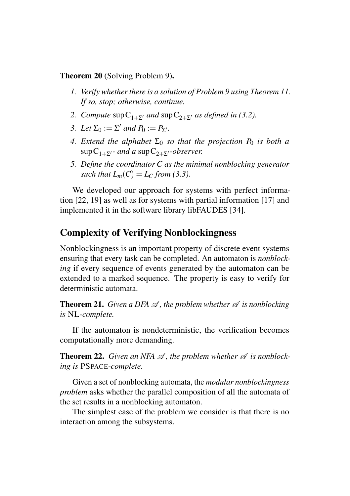Theorem 20 (Solving Problem 9).

- *1. Verify whether there is a solution of Problem 9 using Theorem 11. If so, stop; otherwise, continue.*
- *2. Compute*  $\sup C_{1+\sum'}$  *and*  $\sup C_{2+\sum'}$  *as defined in (3.2).*
- *3. Let*  $\Sigma_0 := \Sigma'$  *and*  $P_0 := P_{\Sigma'}$ *.*
- *4. Extend the alphabet*  $\Sigma_0$  *so that the projection*  $P_0$  *is both a*  $\sup C_{1+\Sigma'}$ - and a  $\sup C_{2+\Sigma'}$ -observer.
- *5. Define the coordinator C as the minimal nonblocking generator such that*  $L_m(C) = L_C$  *from (3.3).*

We developed our approach for systems with perfect information [22, 19] as well as for systems with partial information [17] and implemented it in the software library libFAUDES [34].

#### Complexity of Verifying Nonblockingness

Nonblockingness is an important property of discrete event systems ensuring that every task can be completed. An automaton is *nonblocking* if every sequence of events generated by the automaton can be extended to a marked sequence. The property is easy to verify for deterministic automata.

**Theorem 21.** *Given a DFA*  $\mathcal A$ *, the problem whether*  $\mathcal A$  *is nonblocking is* NL*-complete.*

If the automaton is nondeterministic, the verification becomes computationally more demanding.

**Theorem 22.** Given an NFA  $\mathcal{A}$ , the problem whether  $\mathcal{A}$  is nonblock*ing is* PSPACE*-complete.*

Given a set of nonblocking automata, the *modular nonblockingness problem* asks whether the parallel composition of all the automata of the set results in a nonblocking automaton.

The simplest case of the problem we consider is that there is no interaction among the subsystems.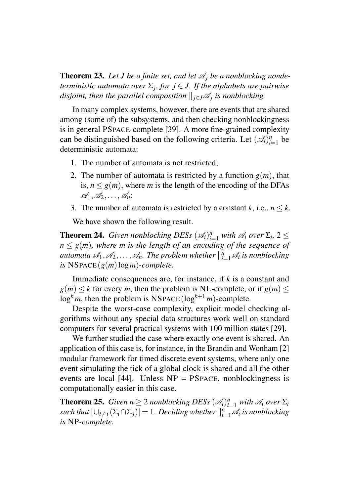**Theorem 23.** Let *J* be a finite set, and let  $\mathcal{A}_i$  be a nonblocking nonde*terministic automata over* Σ*<sup>j</sup> , for j* ∈ *J. If the alphabets are pairwise disjoint, then the parallel composition*  $\Vert_{j\in J}\mathscr{A}_{j}$  *is nonblocking.* 

In many complex systems, however, there are events that are shared among (some of) the subsystems, and then checking nonblockingness is in general PSPACE-complete [39]. A more fine-grained complexity can be distinguished based on the following criteria. Let  $(\mathcal{A}_i)_{i=1}^n$  be deterministic automata:

- 1. The number of automata is not restricted;
- 2. The number of automata is restricted by a function  $g(m)$ , that is,  $n \leq g(m)$ , where *m* is the length of the encoding of the DFAs A1,A2,...,A*n*;
- 3. The number of automata is restricted by a constant  $k$ , i.e.,  $n \leq k$ .

We have shown the following result.

**Theorem 24.** *Given nonblocking DESs*  $(\mathscr{A}_i)_{i=1}^n$  *with*  $\mathscr{A}_i$  *over*  $\Sigma_i$ , 2  $\leq$  $n \leq g(m)$ *, where m is the length of an encoding of the sequence of* automata  $\mathscr{A}_1, \mathscr{A}_2, \ldots, \mathscr{A}_n$ . The problem whether  $\|_{i=1}^n \mathscr{A}_i$  is nonblocking  $is$  NSPACE( $g(m)$ log*m*)*-complete.* 

Immediate consequences are, for instance, if *k* is a constant and  $g(m) \le k$  for every *m*, then the problem is NL-complete, or if  $g(m) \le k$  $\log^k m$ , then the problem is NSPACE( $\log^{k+1} m$ )-complete.

Despite the worst-case complexity, explicit model checking algorithms without any special data structures work well on standard computers for several practical systems with 100 million states [29].

We further studied the case where exactly one event is shared. An application of this case is, for instance, in the Brandin and Wonham [2] modular framework for timed discrete event systems, where only one event simulating the tick of a global clock is shared and all the other events are local  $[44]$ . Unless  $NP = PSPACE$ , nonblockingness is computationally easier in this case.

**Theorem 25.** *Given*  $n \geq 2$  *nonblocking DESs*  $(\mathcal{A}_i)_{i=1}^n$  *with*  $\mathcal{A}_i$  *over*  $\Sigma_i$  $\textit{such that } |\cup_{i \neq j} (\Sigma_i \cap \Sigma_j)| = 1$ . Deciding whether  $\|_{i=1}^n \mathscr{A}_i$  is nonblocking *is* NP*-complete.*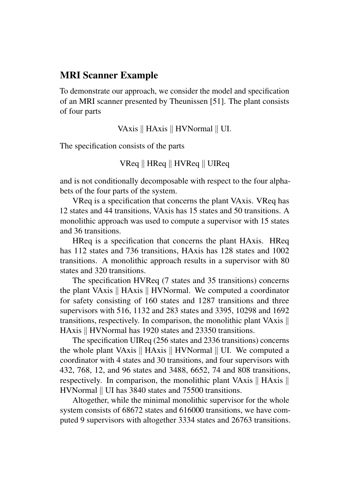#### MRI Scanner Example

To demonstrate our approach, we consider the model and specification of an MRI scanner presented by Theunissen [51]. The plant consists of four parts

VAxis || HAxis || HVNormal || UI.

The specification consists of the parts

 $V$ Req  $\parallel$  HReq  $\parallel$  HVReq  $\parallel$  UIReq

and is not conditionally decomposable with respect to the four alphabets of the four parts of the system.

VReq is a specification that concerns the plant VAxis. VReq has 12 states and 44 transitions, VAxis has 15 states and 50 transitions. A monolithic approach was used to compute a supervisor with 15 states and 36 transitions.

HReq is a specification that concerns the plant HAxis. HReq has 112 states and 736 transitions, HAxis has 128 states and 1002 transitions. A monolithic approach results in a supervisor with 80 states and 320 transitions.

The specification HVReq (7 states and 35 transitions) concerns the plant VAxis  $\parallel$  HAxis  $\parallel$  HVNormal. We computed a coordinator for safety consisting of 160 states and 1287 transitions and three supervisors with 516, 1132 and 283 states and 3395, 10298 and 1692 transitions, respectively. In comparison, the monolithic plant VAxis k HAxis || HVNormal has 1920 states and 23350 transitions.

The specification UIReq (256 states and 2336 transitions) concerns the whole plant VAxis  $\parallel$  HAxis  $\parallel$  HVNormal  $\parallel$  UI. We computed a coordinator with 4 states and 30 transitions, and four supervisors with 432, 768, 12, and 96 states and 3488, 6652, 74 and 808 transitions, respectively. In comparison, the monolithic plant VAxis  $\parallel$  HAxis  $\parallel$ HVNormal  $\parallel$  UI has 3840 states and 75500 transitions.

Altogether, while the minimal monolithic supervisor for the whole system consists of 68672 states and 616000 transitions, we have computed 9 supervisors with altogether 3334 states and 26763 transitions.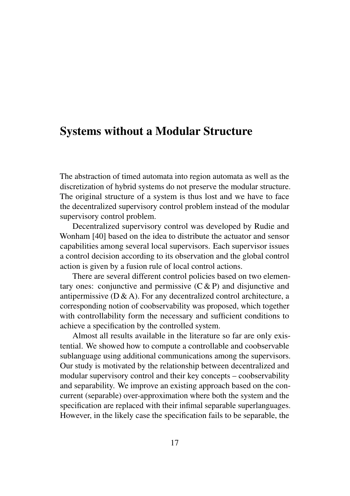### Systems without a Modular Structure

The abstraction of timed automata into region automata as well as the discretization of hybrid systems do not preserve the modular structure. The original structure of a system is thus lost and we have to face the decentralized supervisory control problem instead of the modular supervisory control problem.

Decentralized supervisory control was developed by Rudie and Wonham [40] based on the idea to distribute the actuator and sensor capabilities among several local supervisors. Each supervisor issues a control decision according to its observation and the global control action is given by a fusion rule of local control actions.

There are several different control policies based on two elementary ones: conjunctive and permissive  $(C & P)$  and disjunctive and antipermissive  $(D & A)$ . For any decentralized control architecture, a corresponding notion of coobservability was proposed, which together with controllability form the necessary and sufficient conditions to achieve a specification by the controlled system.

Almost all results available in the literature so far are only existential. We showed how to compute a controllable and coobservable sublanguage using additional communications among the supervisors. Our study is motivated by the relationship between decentralized and modular supervisory control and their key concepts – coobservability and separability. We improve an existing approach based on the concurrent (separable) over-approximation where both the system and the specification are replaced with their infimal separable superlanguages. However, in the likely case the specification fails to be separable, the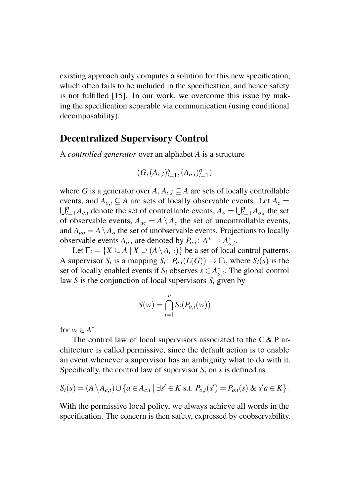existing approach only computes a solution for this new specification, which often fails to be included in the specification, and hence safety is not fulfilled [15]. In our work, we overcome this issue by making the specification separable via communication (using conditional decomposability).

#### Decentralized Supervisory Control

A *controlled generator* over an alphabet *A* is a structure

$$
(G, (A_{c,i})_{i=1}^n, (A_{o,i})_{i=1}^n)
$$

where *G* is a generator over *A*,  $A_{c,i} \subseteq A$  are sets of locally controllable events, and  $A_{o,i} \subseteq A$  are sets of locally observable events. Let  $A_c =$  $\bigcup_{i=1}^{n} A_{c,i}$  denote the set of controllable events,  $A_o = \bigcup_{i=1}^{n} A_{o,i}$  the set of observable events,  $A_{uc} = A \setminus A_c$  the set of uncontrollable events, and  $A_{\mu\rho} = A \setminus A_{\rho}$  the set of unobservable events. Projections to locally observable events  $A_{o,i}$  are denoted by  $P_{o,i}: A^* \to A^*_{o,i}$ .

Let  $\Gamma_i = \{ X \subseteq A \mid X \supset (A \setminus A_{c,i}) \}$  be a set of local control patterns. A supervisor *S<sub>i</sub>* is a mapping *S<sub>i</sub>*:  $P_{o,i}(L(G)) \to \Gamma_i$ , where *S<sub>i</sub>*(*s*) is the set of locally enabled events if  $S_i$  observes  $s \in A_{o,i}^*$ . The global control law *S* is the conjunction of local supervisors  $S_i$  given by

$$
S(w) = \bigcap_{i=1}^{n} S_i(P_{o,i}(w))
$$

for  $w \in A^*$ .

The control law of local supervisors associated to the  $C & P$  architecture is called permissive, since the default action is to enable an event whenever a supervisor has an ambiguity what to do with it. Specifically, the control law of supervisor  $S_i$  on *s* is defined as

$$
S_i(s) = (A \setminus A_{c,i}) \cup \{a \in A_{c,i} \mid \exists s' \in K \text{ s.t. } P_{o,i}(s') = P_{o,i}(s) \& s'a \in K\}.
$$

With the permissive local policy, we always achieve all words in the specification. The concern is then safety, expressed by coobservability.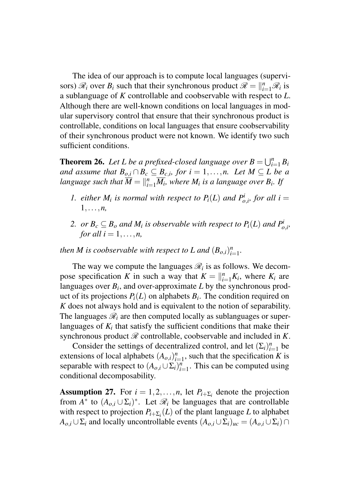The idea of our approach is to compute local languages (supervisors)  $\mathcal{R}_i$  over  $B_i$  such that their synchronous product  $\mathcal{R} = \big\|_{i=1}^n \mathcal{R}_i$  is a sublanguage of *K* controllable and coobservable with respect to *L*. Although there are well-known conditions on local languages in modular supervisory control that ensure that their synchronous product is controllable, conditions on local languages that ensure coobservability of their synchronous product were not known. We identify two such sufficient conditions.

**Theorem 26.** Let L be a prefixed-closed language over  $B = \bigcup_{i=1}^{n} B_i$ *and assume that*  $B_{o,i} \cap B_c \subseteq B_{c,i}$ , for  $i = 1,...,n$ . Let  $M \subseteq L$  be a language such that  $\overline{M} = \Vert_{i=1}^n \overline{M_i}$ , where  $M_i$  is a language over  $B_i$ . If

- *1. either*  $M_i$  *is normal with respect to*  $P_i(L)$  *and*  $P_{o,i}^i$ *, for all*  $i =$ 1,...,*n,*
- 2. *or*  $B_c \subseteq B_o$  *and*  $M_i$  *is observable with respect to*  $P_i(L)$  *and*  $P_{o,i}^i$ *, for all*  $i = 1, \ldots, n$ ,

*then M is coobservable with respect to L and*  $(B_{o,i})_{i=1}^n$ *.* 

The way we compute the languages  $\mathcal{R}_i$  is as follows. We decompose specification *K* in such a way that  $K = \big|_{i=1}^{n} K_i$ , where  $K_i$  are languages over  $B_i$ , and over-approximate  $L$  by the synchronous product of its projections  $P_i(L)$  on alphabets  $B_i$ . The condition required on *K* does not always hold and is equivalent to the notion of separability. The languages  $\mathcal{R}_i$  are then computed locally as sublanguages or superlanguages of  $K_i$  that satisfy the sufficient conditions that make their synchronous product  $\mathcal R$  controllable, coobservable and included in  $K$ .

Consider the settings of decentralized control, and let  $(\Sigma_i)_{i=1}^n$  be extensions of local alphabets  $(A_{o,i})_{i=1}^n$ , such that the specification *K* is separable with respect to  $(A_{o,i} \cup \Sigma_i)_{i=1}^n$ . This can be computed using conditional decomposability.

**Assumption 27.** For  $i = 1, 2, ..., n$ , let  $P_{i+\sum_i}$  denote the projection from  $A^*$  to  $(A_{o,i} \cup \Sigma_i)^*$ . Let  $\mathcal{R}_i$  be languages that are controllable with respect to projection  $P_{i+\Sigma_i}(L)$  of the plant language *L* to alphabet *A*<sub>*o*</sub>,*i* ∪  $\Sigma$ *i* and locally uncontrollable events  $(A_{o,i} \cup \Sigma_i)_{uc} = (A_{o,i} \cup \Sigma_i) \cap$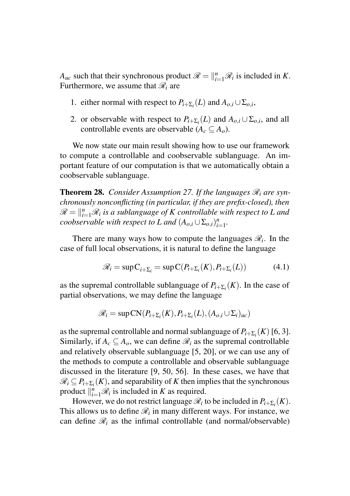*A<sub>uc</sub>* such that their synchronous product  $\mathcal{R} = \big\|_{i=1}^n \mathcal{R}_i$  is included in *K*. Furthermore, we assume that  $\mathcal{R}_i$  are

- 1. either normal with respect to  $P_{i+\sum_i}(L)$  and  $A_{o,i} \cup \sum_{o,i}$ ,
- 2. or observable with respect to  $P_{i+\sum_i}(L)$  and  $A_{o,i} \cup \sum_{o,i}$ , and all controllable events are observable  $(A_c \subseteq A_o)$ .

We now state our main result showing how to use our framework to compute a controllable and coobservable sublanguage. An important feature of our computation is that we automatically obtain a coobservable sublanguage.

**Theorem 28.** *Consider Assumption 27. If the languages*  $\mathcal{R}_i$  *are synchronously nonconflicting (in particular, if they are prefix-closed), then*  $\mathscr{R} = \Vert_{i=1}^{n}\mathscr{R}_{i}$  is a sublanguage of *K* controllable with respect to *L* and *coobservable with respect to L and*  $(A_{o,i} \cup \Sigma_{o,i})_{i=1}^n$ .

There are many ways how to compute the languages  $\mathcal{R}_i$ . In the case of full local observations, it is natural to define the language

$$
\mathcal{R}_i = \sup C_{i + \Sigma_i} = \sup C(P_{i + \Sigma_i}(K), P_{i + \Sigma_i}(L)) \tag{4.1}
$$

as the supremal controllable sublanguage of  $P_{i+\sum_i}(K)$ . In the case of partial observations, we may define the language

$$
\mathscr{R}_i = \sup \text{CN}(P_{i+\Sigma_i}(K), P_{i+\Sigma_i}(L), (A_{o,i} \cup \Sigma_i)_{uc})
$$

as the supremal controllable and normal sublanguage of  $P_{i+\sum_i}(K)$  [6, 3]. Similarly, if  $A_c \subseteq A_o$ , we can define  $\mathcal{R}_i$  as the supremal controllable and relatively observable sublanguage [5, 20], or we can use any of the methods to compute a controllable and observable sublanguage discussed in the literature [9, 50, 56]. In these cases, we have that  $\mathscr{R}_i \subseteq P_{i+\Sigma_i}(K)$ , and separability of *K* then implies that the synchronous product  $\big\|_{i=1}^n \mathcal{R}_i$  is included in *K* as required.

However, we do not restrict language  $\mathcal{R}_i$  to be included in  $P_{i+\Sigma_i}(K)$ . This allows us to define  $\mathcal{R}_i$  in many different ways. For instance, we can define  $\mathcal{R}_i$  as the infimal controllable (and normal/observable)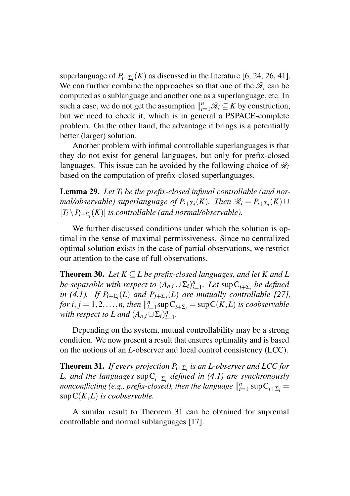superlanguage of  $P_{i+\sum_{i}}(K)$  as discussed in the literature [6, 24, 26, 41]. We can further combine the approaches so that one of the  $\mathcal{R}_i$  can be computed as a sublanguage and another one as a superlanguage, etc. In such a case, we do not get the assumption  $\|_{i=1}^n \mathcal{R}_i \subseteq K$  by construction, but we need to check it, which is in general a PSPACE-complete problem. On the other hand, the advantage it brings is a potentially better (larger) solution.

Another problem with infimal controllable superlanguages is that they do not exist for general languages, but only for prefix-closed languages. This issue can be avoided by the following choice of  $\mathcal{R}_i$ based on the computation of prefix-closed superlanguages.

Lemma 29. *Let T<sup>i</sup> be the prefix-closed infimal controllable (and nor* $m$ *al/observable) superlanguage of*  $P_{i+\Sigma_i}(K)$ . Then  $\mathscr{R}_i = P_{i+\Sigma_i}(K) \cup$  $[T_i \setminus P_{i+\Sigma_i}(K)]$  *is controllable (and normal/observable).* 

We further discussed conditions under which the solution is optimal in the sense of maximal permissiveness. Since no centralized optimal solution exists in the case of partial observations, we restrict our attention to the case of full observations.

**Theorem 30.** *Let*  $K \subseteq L$  *be prefix-closed languages, and let*  $K$  *and*  $L$ *be separable with respect to*  $(A_{o,i} \cup \Sigma_i)_{i=1}^n$ *. Let*  $\sup C_{i+\Sigma_i}$  *be defined in* (4.1). If  $P_{i+\sum_{i}}(L)$  and  $P_{j+\sum_{j}}(L)$  are mutually controllable [27], *for*  $i, j = 1, 2, \ldots, n$ , then  $\|_{i=1}^n \sup_{i \in \mathcal{I}} C_{i+\sum_i} = \sup_{i \in \mathcal{I}} C(K, L)$  *is coobservable with respect to L and*  $(A_{o,i} \cup \Sigma_i)_{i=1}^n$ .

Depending on the system, mutual controllability may be a strong condition. We now present a result that ensures optimality and is based on the notions of an *L*-observer and local control consistency (LCC).

Theorem 31. *If every projection Pi*+Σ*<sup>i</sup> is an L-observer and LCC for L, and the languages* supC*i*+Σ*<sup>i</sup> defined in (4.1) are synchronously nonconflicting (e.g., prefix-closed), then the language*  $\|_{i=1}^n \sup C_{i+\Sigma_i} =$ supC(*K*,*L*) *is coobservable.*

A similar result to Theorem 31 can be obtained for supremal controllable and normal sublanguages [17].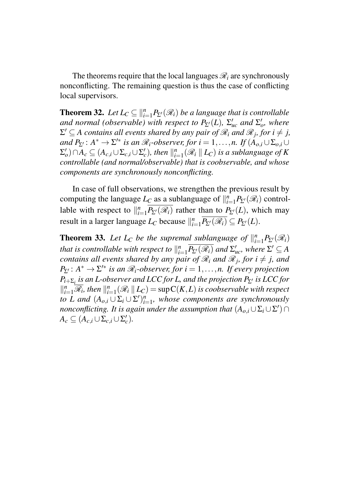The theorems require that the local languages  $\mathcal{R}_i$  are synchronously nonconflicting. The remaining question is thus the case of conflicting local supervisors.

**Theorem 32.** *Let*  $L_C \subseteq \binom{n}{i-1} P_{\Sigma}(\mathcal{R}_i)$  *be a language that is controllable and normal (observable) with respect to*  $P_{\Sigma'}(L)$ ,  $\Sigma'_{uc}$  *and*  $\Sigma'_{o}$ *, where*  $\Sigma' \subseteq A$  *contains all events shared by any pair of*  $\mathscr{R}_i$  *and*  $\mathscr{R}_j$ *, for*  $i \neq j$ *,*  $and$   $P_{\Sigma'}: A^* \to \Sigma'^*$  *is an*  $\mathcal{R}_i$ -observer, for  $i = 1, ..., n$ . If  $(A_{o,i} \cup \Sigma_{o,i} \cup \Sigma_{o,i})$  $(\Sigma'_o) \cap A_c \subseteq (A_{c,i} \cup \Sigma_{c,i} \cup \Sigma'_c)$ , then  $\|_{i=1}^n (\mathscr{R}_i \parallel L_c)$  is a sublanguage of K *controllable (and normal/observable) that is coobservable, and whose components are synchronously nonconflicting.*

In case of full observations, we strengthen the previous result by computing the language  $L_C$  as a sublanguage of  $||_{i=1}^n P_{\Sigma}(\mathcal{R}_i)$  controllable with respect to  $\|_{i=1}^n \overline{P_{\Sigma'}(\mathcal{R}_i)}$  rather than to  $P_{\Sigma'}(L)$ , which may result in a larger language  $L_C$  because  $||_{i=1}^n \overline{P_{\Sigma'}(\mathcal{R}_i)} \subseteq P_{\Sigma'}(L)$ .

**Theorem 33.** Let  $L_C$  be the supremal sublanguage of  $\|_{i=1}^n P_{\Sigma}(\mathcal{R}_i)$ *that is controllable with respect to*  $\|_{i=1}^n \overline{P_{\Sigma'}(\mathscr{R}_i)}$  *and*  $\Sigma'_{uc}$ *, where*  $\Sigma' \subseteq A$ *contains all events shared by any pair of*  $\mathcal{R}_i$  *and*  $\mathcal{R}_j$ *, for*  $i \neq j$ *, and*  $P_{\Sigma}$ :  $A^* \to \Sigma'^*$  *is an*  $\mathcal{R}_i$ *-observer, for*  $i = 1, \ldots, n$ . If every projection *Pi*+Σ*<sup>i</sup> is an L-observer and LCC for L, and the projection P*Σ<sup>0</sup> *is LCC for*  $\|_{i=1}^{n} \overline{\mathscr{R}}_i$ , then  $\|_{i=1}^{n} (\mathscr{R}_i \mid L_C) = \sup C(K, L)$  is coobservable with respect *to L* and  $(A_{o,i} \cup \Sigma_i \cup \Sigma')_{i=1}^n$ , whose components are synchronously *nonconflicting. It is again under the assumption that*  $(A_{o,i} \cup \Sigma_i \cup \Sigma') \cap$  $A_c \subseteq (A_{c,i} \cup \Sigma_{c,i} \cup \Sigma'_c).$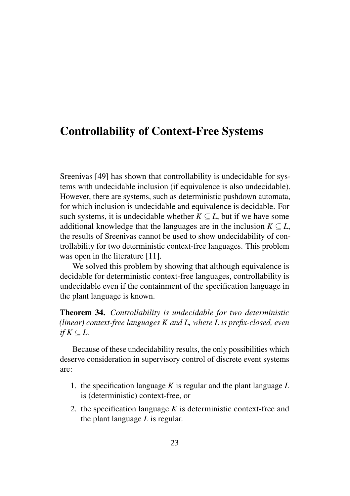## Controllability of Context-Free Systems

Sreenivas [49] has shown that controllability is undecidable for systems with undecidable inclusion (if equivalence is also undecidable). However, there are systems, such as deterministic pushdown automata, for which inclusion is undecidable and equivalence is decidable. For such systems, it is undecidable whether  $K \subseteq L$ , but if we have some additional knowledge that the languages are in the inclusion  $K \subseteq L$ , the results of Sreenivas cannot be used to show undecidability of controllability for two deterministic context-free languages. This problem was open in the literature [11].

We solved this problem by showing that although equivalence is decidable for deterministic context-free languages, controllability is undecidable even if the containment of the specification language in the plant language is known.

Theorem 34. *Controllability is undecidable for two deterministic (linear) context-free languages K and L, where L is prefix-closed, even if*  $K \subseteq L$ .

Because of these undecidability results, the only possibilities which deserve consideration in supervisory control of discrete event systems are:

- 1. the specification language *K* is regular and the plant language *L* is (deterministic) context-free, or
- 2. the specification language *K* is deterministic context-free and the plant language *L* is regular.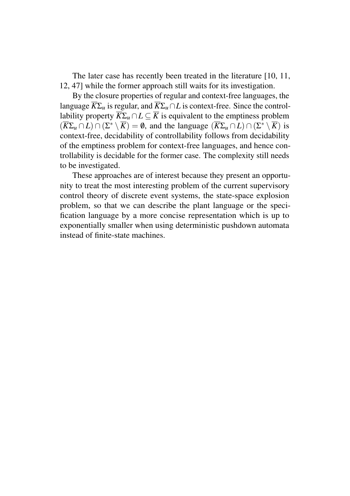The later case has recently been treated in the literature [10, 11, 12, 47] while the former approach still waits for its investigation.

By the closure properties of regular and context-free languages, the language  $\overline{K}\Sigma_u$  is regular, and  $\overline{K}\Sigma_u \cap L$  is context-free. Since the controllability property  $\overline{K}\Sigma_u \cap L \subseteq \overline{K}$  is equivalent to the emptiness problem  $(\overline{K}\Sigma_u \cap L) \cap (\Sigma^* \setminus \overline{K}) = \emptyset$ , and the language  $(\overline{K}\Sigma_u \cap L) \cap (\Sigma^* \setminus \overline{K})$  is context-free, decidability of controllability follows from decidability of the emptiness problem for context-free languages, and hence controllability is decidable for the former case. The complexity still needs to be investigated.

These approaches are of interest because they present an opportunity to treat the most interesting problem of the current supervisory control theory of discrete event systems, the state-space explosion problem, so that we can describe the plant language or the specification language by a more concise representation which is up to exponentially smaller when using deterministic pushdown automata instead of finite-state machines.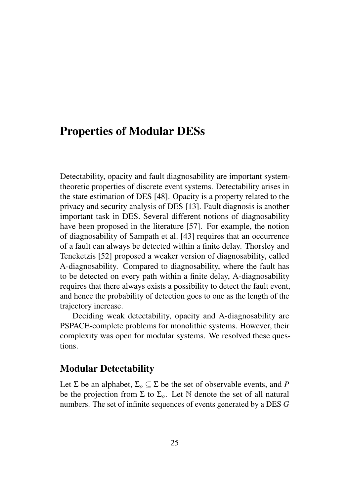## Properties of Modular DESs

Detectability, opacity and fault diagnosability are important systemtheoretic properties of discrete event systems. Detectability arises in the state estimation of DES [48]. Opacity is a property related to the privacy and security analysis of DES [13]. Fault diagnosis is another important task in DES. Several different notions of diagnosability have been proposed in the literature [57]. For example, the notion of diagnosability of Sampath et al. [43] requires that an occurrence of a fault can always be detected within a finite delay. Thorsley and Teneketzis [52] proposed a weaker version of diagnosability, called A-diagnosability. Compared to diagnosability, where the fault has to be detected on every path within a finite delay, A-diagnosability requires that there always exists a possibility to detect the fault event, and hence the probability of detection goes to one as the length of the trajectory increase.

Deciding weak detectability, opacity and A-diagnosability are PSPACE-complete problems for monolithic systems. However, their complexity was open for modular systems. We resolved these questions.

#### Modular Detectability

Let  $\Sigma$  be an alphabet,  $\Sigma_o \subseteq \Sigma$  be the set of observable events, and *P* be the projection from  $\Sigma$  to  $\Sigma_o$ . Let  $\mathbb N$  denote the set of all natural numbers. The set of infinite sequences of events generated by a DES *G*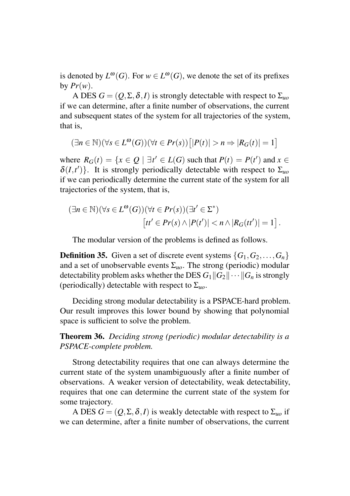is denoted by  $L^{\omega}(G)$ . For  $w \in L^{\omega}(G)$ , we denote the set of its prefixes by  $Pr(w)$ .

A DES  $G = (Q, \Sigma, \delta, I)$  is strongly detectable with respect to  $\Sigma_{uo}$ if we can determine, after a finite number of observations, the current and subsequent states of the system for all trajectories of the system, that is,

$$
(\exists n \in \mathbb{N})(\forall s \in L^{\omega}(G))(\forall t \in Pr(s))\big[|P(t)| > n \Rightarrow |R_G(t)| = 1\big]
$$

where  $R_G(t) = \{x \in Q \mid \exists t' \in L(G) \text{ such that } P(t) = P(t') \text{ and } x \in$  $\delta(I,t')$ }. It is strongly periodically detectable with respect to  $\Sigma_{uo}$ if we can periodically determine the current state of the system for all trajectories of the system, that is,

$$
(\exists n \in \mathbb{N})(\forall s \in L^{\omega}(G))(\forall t \in Pr(s))(\exists t' \in \Sigma^*)
$$
  
\n
$$
[tt' \in Pr(s) \land |P(t')| < n \land |R_G(tt')| = 1].
$$

The modular version of the problems is defined as follows.

**Definition 35.** Given a set of discrete event systems  $\{G_1, G_2, \ldots, G_n\}$ and a set of unobservable events  $\Sigma_{\mu\rho}$ . The strong (periodic) modular detectability problem asks whether the DES  $G_1||G_2|| \cdots ||G_n$  is strongly (periodically) detectable with respect to Σ*uo*.

Deciding strong modular detectability is a PSPACE-hard problem. Our result improves this lower bound by showing that polynomial space is sufficient to solve the problem.

Theorem 36. *Deciding strong (periodic) modular detectability is a PSPACE-complete problem.*

Strong detectability requires that one can always determine the current state of the system unambiguously after a finite number of observations. A weaker version of detectability, weak detectability, requires that one can determine the current state of the system for some trajectory.

A DES  $G = (Q, \Sigma, \delta, I)$  is weakly detectable with respect to  $\Sigma_{uo}$  if we can determine, after a finite number of observations, the current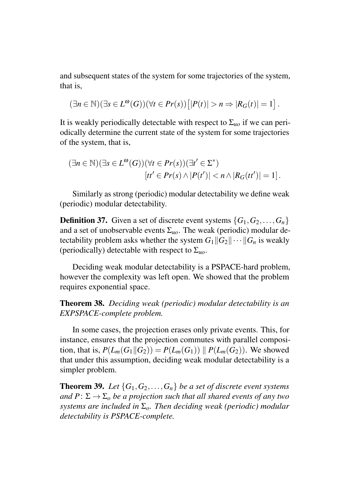and subsequent states of the system for some trajectories of the system, that is,

$$
(\exists n \in \mathbb{N})(\exists s \in L^{\omega}(G))(\forall t \in Pr(s))\big[|P(t)| > n \Rightarrow |R_G(t)| = 1\big].
$$

It is weakly periodically detectable with respect to  $\Sigma_{\mu\rho}$  if we can periodically determine the current state of the system for some trajectories of the system, that is,

$$
(\exists n \in \mathbb{N})(\exists s \in L^{\omega}(G))(\forall t \in Pr(s))(\exists t' \in \Sigma^*)
$$
  
\n
$$
[tt' \in Pr(s) \land |P(t')| < n \land |R_G(tt')| = 1].
$$

Similarly as strong (periodic) modular detectability we define weak (periodic) modular detectability.

**Definition 37.** Given a set of discrete event systems  $\{G_1, G_2, \ldots, G_n\}$ and a set of unobservable events  $\Sigma_{\mu o}$ . The weak (periodic) modular detectability problem asks whether the system  $G_1||G_2|| \cdots ||G_n$  is weakly (periodically) detectable with respect to Σ*uo*.

Deciding weak modular detectability is a PSPACE-hard problem, however the complexity was left open. We showed that the problem requires exponential space.

Theorem 38. *Deciding weak (periodic) modular detectability is an EXPSPACE-complete problem.*

In some cases, the projection erases only private events. This, for instance, ensures that the projection commutes with parallel composition, that is,  $P(L_m(G_1||G_2)) = P(L_m(G_1)) || P(L_m(G_2))$ . We showed that under this assumption, deciding weak modular detectability is a simpler problem.

**Theorem 39.** Let  $\{G_1, G_2, \ldots, G_n\}$  be a set of discrete event systems *and*  $P: \Sigma \to \Sigma_o$  *be a projection such that all shared events of any two systems are included in* Σ*o. Then deciding weak (periodic) modular detectability is PSPACE-complete.*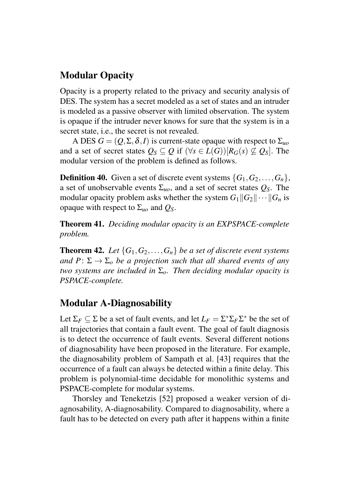### Modular Opacity

Opacity is a property related to the privacy and security analysis of DES. The system has a secret modeled as a set of states and an intruder is modeled as a passive observer with limited observation. The system is opaque if the intruder never knows for sure that the system is in a secret state, i.e., the secret is not revealed.

A DES  $G = (Q, \Sigma, \delta, I)$  is current-state opaque with respect to  $\Sigma_{\mu\rho}$ and a set of secret states  $Q_S \subseteq Q$  if  $(\forall s \in L(G))[R_G(s) \subseteq Q_S]$ . The modular version of the problem is defined as follows.

**Definition 40.** Given a set of discrete event systems  $\{G_1, G_2, \ldots, G_n\}$ , a set of unobservable events  $\Sigma_{\mu o}$ , and a set of secret states  $Q_S$ . The modular opacity problem asks whether the system  $G_1||G_2|| \cdots ||G_n$  is opaque with respect to Σ*uo* and *QS*.

Theorem 41. *Deciding modular opacity is an EXPSPACE-complete problem.*

**Theorem 42.** Let  $\{G_1, G_2, \ldots, G_n\}$  be a set of discrete event systems *and*  $P: \Sigma \to \Sigma$ <sub>*o*</sub> *be a projection such that all shared events of any two systems are included in* Σ*o. Then deciding modular opacity is PSPACE-complete.*

#### Modular A-Diagnosability

Let  $\Sigma_F \subseteq \Sigma$  be a set of fault events, and let  $L_F = \Sigma^* \Sigma_F \Sigma^*$  be the set of all trajectories that contain a fault event. The goal of fault diagnosis is to detect the occurrence of fault events. Several different notions of diagnosability have been proposed in the literature. For example, the diagnosability problem of Sampath et al. [43] requires that the occurrence of a fault can always be detected within a finite delay. This problem is polynomial-time decidable for monolithic systems and PSPACE-complete for modular systems.

Thorsley and Teneketzis [52] proposed a weaker version of diagnosability, A-diagnosability. Compared to diagnosability, where a fault has to be detected on every path after it happens within a finite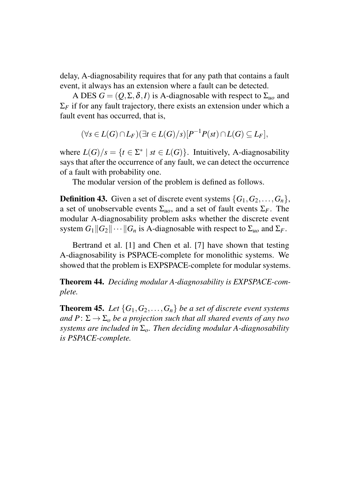delay, A-diagnosability requires that for any path that contains a fault event, it always has an extension where a fault can be detected.

A DES  $G = (Q, \Sigma, \delta, I)$  is A-diagnosable with respect to  $\Sigma_{uo}$  and  $\Sigma_F$  if for any fault trajectory, there exists an extension under which a fault event has occurred, that is,

$$
(\forall s \in L(G) \cap L_F)(\exists t \in L(G)/s)[P^{-1}P(st) \cap L(G) \subseteq L_F],
$$

where  $L(G)/s = \{t \in \Sigma^* \mid st \in L(G)\}$ . Intuitively, A-diagnosability says that after the occurrence of any fault, we can detect the occurrence of a fault with probability one.

The modular version of the problem is defined as follows.

**Definition 43.** Given a set of discrete event systems  $\{G_1, G_2, \ldots, G_n\}$ , a set of unobservable events  $\Sigma_{\mu o}$ , and a set of fault events  $\Sigma_F$ . The modular A-diagnosability problem asks whether the discrete event system  $G_1||G_2||\cdots||G_n$  is A-diagnosable with respect to  $\Sigma_{\mu_0}$  and  $\Sigma_F$ .

Bertrand et al. [1] and Chen et al. [7] have shown that testing A-diagnosability is PSPACE-complete for monolithic systems. We showed that the problem is EXPSPACE-complete for modular systems.

Theorem 44. *Deciding modular A-diagnosability is EXPSPACE-complete.*

**Theorem 45.** Let  $\{G_1, G_2, \ldots, G_n\}$  be a set of discrete event systems *and*  $P: \Sigma \rightarrow \Sigma_0$  *be a projection such that all shared events of any two systems are included in* Σ*o. Then deciding modular A-diagnosability is PSPACE-complete.*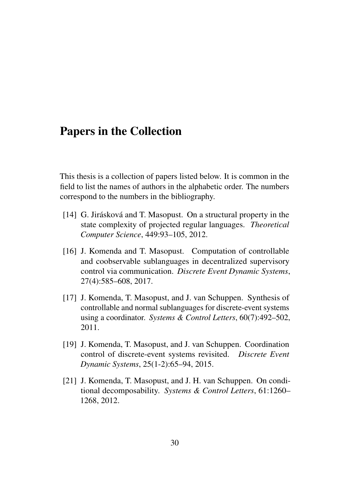## Papers in the Collection

This thesis is a collection of papers listed below. It is common in the field to list the names of authors in the alphabetic order. The numbers correspond to the numbers in the bibliography.

- [14] G. Jirásková and T. Masopust. On a structural property in the state complexity of projected regular languages. *Theoretical Computer Science*, 449:93–105, 2012.
- [16] J. Komenda and T. Masopust. Computation of controllable and coobservable sublanguages in decentralized supervisory control via communication. *Discrete Event Dynamic Systems*, 27(4):585–608, 2017.
- [17] J. Komenda, T. Masopust, and J. van Schuppen. Synthesis of controllable and normal sublanguages for discrete-event systems using a coordinator. *Systems & Control Letters*, 60(7):492–502, 2011.
- [19] J. Komenda, T. Masopust, and J. van Schuppen. Coordination control of discrete-event systems revisited. *Discrete Event Dynamic Systems*, 25(1-2):65–94, 2015.
- [21] J. Komenda, T. Masopust, and J. H. van Schuppen. On conditional decomposability. *Systems & Control Letters*, 61:1260– 1268, 2012.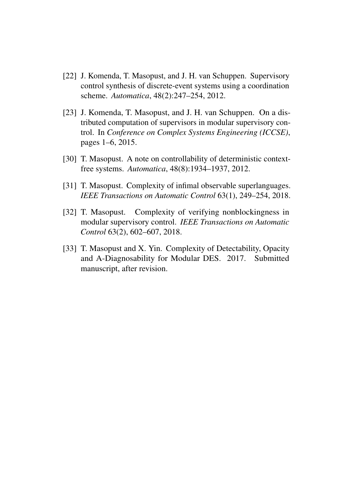- [22] J. Komenda, T. Masopust, and J. H. van Schuppen. Supervisory control synthesis of discrete-event systems using a coordination scheme. *Automatica*, 48(2):247–254, 2012.
- [23] J. Komenda, T. Masopust, and J. H. van Schuppen. On a distributed computation of supervisors in modular supervisory control. In *Conference on Complex Systems Engineering (ICCSE)*, pages 1–6, 2015.
- [30] T. Masopust. A note on controllability of deterministic contextfree systems. *Automatica*, 48(8):1934–1937, 2012.
- [31] T. Masopust. Complexity of infimal observable superlanguages. *IEEE Transactions on Automatic Control* 63(1), 249–254, 2018.
- [32] T. Masopust. Complexity of verifying nonblockingness in modular supervisory control. *IEEE Transactions on Automatic Control* 63(2), 602–607, 2018.
- [33] T. Masopust and X. Yin. Complexity of Detectability, Opacity and A-Diagnosability for Modular DES. 2017. Submitted manuscript, after revision.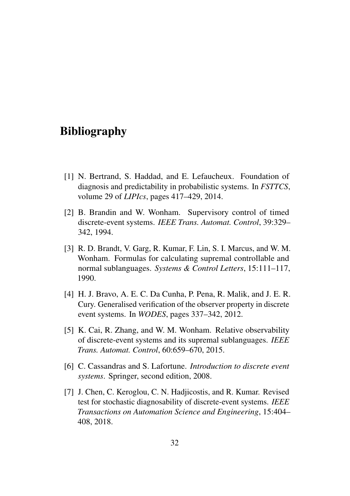## Bibliography

- [1] N. Bertrand, S. Haddad, and E. Lefaucheux. Foundation of diagnosis and predictability in probabilistic systems. In *FSTTCS*, volume 29 of *LIPIcs*, pages 417–429, 2014.
- [2] B. Brandin and W. Wonham. Supervisory control of timed discrete-event systems. *IEEE Trans. Automat. Control*, 39:329– 342, 1994.
- [3] R. D. Brandt, V. Garg, R. Kumar, F. Lin, S. I. Marcus, and W. M. Wonham. Formulas for calculating supremal controllable and normal sublanguages. *Systems & Control Letters*, 15:111–117, 1990.
- [4] H. J. Bravo, A. E. C. Da Cunha, P. Pena, R. Malik, and J. E. R. Cury. Generalised verification of the observer property in discrete event systems. In *WODES*, pages 337–342, 2012.
- [5] K. Cai, R. Zhang, and W. M. Wonham. Relative observability of discrete-event systems and its supremal sublanguages. *IEEE Trans. Automat. Control*, 60:659–670, 2015.
- [6] C. Cassandras and S. Lafortune. *Introduction to discrete event systems*. Springer, second edition, 2008.
- [7] J. Chen, C. Keroglou, C. N. Hadjicostis, and R. Kumar. Revised test for stochastic diagnosability of discrete-event systems. *IEEE Transactions on Automation Science and Engineering*, 15:404– 408, 2018.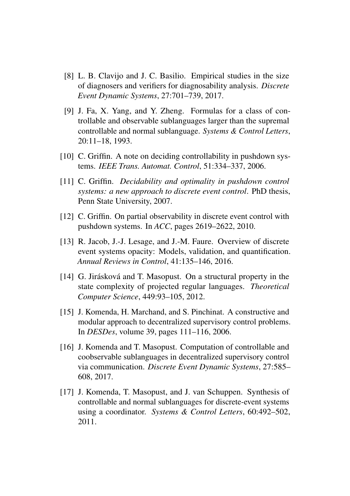- [8] L. B. Clavijo and J. C. Basilio. Empirical studies in the size of diagnosers and verifiers for diagnosability analysis. *Discrete Event Dynamic Systems*, 27:701–739, 2017.
- [9] J. Fa, X. Yang, and Y. Zheng. Formulas for a class of controllable and observable sublanguages larger than the supremal controllable and normal sublanguage. *Systems & Control Letters*, 20:11–18, 1993.
- [10] C. Griffin. A note on deciding controllability in pushdown systems. *IEEE Trans. Automat. Control*, 51:334–337, 2006.
- [11] C. Griffin. *Decidability and optimality in pushdown control systems: a new approach to discrete event control*. PhD thesis, Penn State University, 2007.
- [12] C. Griffin. On partial observability in discrete event control with pushdown systems. In *ACC*, pages 2619–2622, 2010.
- [13] R. Jacob, J.-J. Lesage, and J.-M. Faure. Overview of discrete event systems opacity: Models, validation, and quantification. *Annual Reviews in Control*, 41:135–146, 2016.
- $[14]$  G. Jirásková and T. Masopust. On a structural property in the state complexity of projected regular languages. *Theoretical Computer Science*, 449:93–105, 2012.
- [15] J. Komenda, H. Marchand, and S. Pinchinat. A constructive and modular approach to decentralized supervisory control problems. In *DESDes*, volume 39, pages 111–116, 2006.
- [16] J. Komenda and T. Masopust. Computation of controllable and coobservable sublanguages in decentralized supervisory control via communication. *Discrete Event Dynamic Systems*, 27:585– 608, 2017.
- [17] J. Komenda, T. Masopust, and J. van Schuppen. Synthesis of controllable and normal sublanguages for discrete-event systems using a coordinator. *Systems & Control Letters*, 60:492–502, 2011.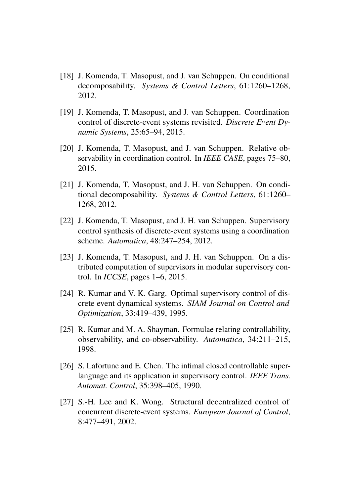- [18] J. Komenda, T. Masopust, and J. van Schuppen. On conditional decomposability. *Systems & Control Letters*, 61:1260–1268, 2012.
- [19] J. Komenda, T. Masopust, and J. van Schuppen. Coordination control of discrete-event systems revisited. *Discrete Event Dynamic Systems*, 25:65–94, 2015.
- [20] J. Komenda, T. Masopust, and J. van Schuppen. Relative observability in coordination control. In *IEEE CASE*, pages 75–80, 2015.
- [21] J. Komenda, T. Masopust, and J. H. van Schuppen. On conditional decomposability. *Systems & Control Letters*, 61:1260– 1268, 2012.
- [22] J. Komenda, T. Masopust, and J. H. van Schuppen. Supervisory control synthesis of discrete-event systems using a coordination scheme. *Automatica*, 48:247–254, 2012.
- [23] J. Komenda, T. Masopust, and J. H. van Schuppen. On a distributed computation of supervisors in modular supervisory control. In *ICCSE*, pages 1–6, 2015.
- [24] R. Kumar and V. K. Garg. Optimal supervisory control of discrete event dynamical systems. *SIAM Journal on Control and Optimization*, 33:419–439, 1995.
- [25] R. Kumar and M. A. Shayman. Formulae relating controllability, observability, and co-observability. *Automatica*, 34:211–215, 1998.
- [26] S. Lafortune and E. Chen. The infimal closed controllable superlanguage and its application in supervisory control. *IEEE Trans. Automat. Control*, 35:398–405, 1990.
- [27] S.-H. Lee and K. Wong. Structural decentralized control of concurrent discrete-event systems. *European Journal of Control*, 8:477–491, 2002.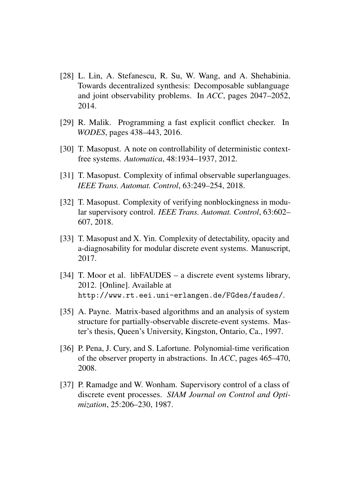- [28] L. Lin, A. Stefanescu, R. Su, W. Wang, and A. Shehabinia. Towards decentralized synthesis: Decomposable sublanguage and joint observability problems. In *ACC*, pages 2047–2052, 2014.
- [29] R. Malik. Programming a fast explicit conflict checker. In *WODES*, pages 438–443, 2016.
- [30] T. Masopust. A note on controllability of deterministic contextfree systems. *Automatica*, 48:1934–1937, 2012.
- [31] T. Masopust. Complexity of infimal observable superlanguages. *IEEE Trans. Automat. Control*, 63:249–254, 2018.
- [32] T. Masopust. Complexity of verifying nonblockingness in modular supervisory control. *IEEE Trans. Automat. Control*, 63:602– 607, 2018.
- [33] T. Masopust and X. Yin. Complexity of detectability, opacity and a-diagnosability for modular discrete event systems. Manuscript, 2017.
- [34] T. Moor et al. libFAUDES a discrete event systems library, 2012. [Online]. Available at http://www.rt.eei.uni-erlangen.de/FGdes/faudes/.
- [35] A. Payne. Matrix-based algorithms and an analysis of system structure for partially-observable discrete-event systems. Master's thesis, Queen's University, Kingston, Ontario, Ca., 1997.
- [36] P. Pena, J. Cury, and S. Lafortune. Polynomial-time verification of the observer property in abstractions. In *ACC*, pages 465–470, 2008.
- [37] P. Ramadge and W. Wonham. Supervisory control of a class of discrete event processes. *SIAM Journal on Control and Optimization*, 25:206–230, 1987.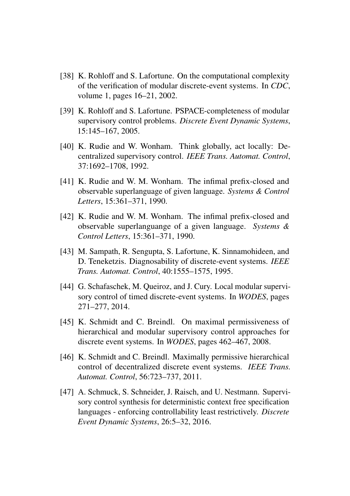- [38] K. Rohloff and S. Lafortune. On the computational complexity of the verification of modular discrete-event systems. In *CDC*, volume 1, pages 16–21, 2002.
- [39] K. Rohloff and S. Lafortune. PSPACE-completeness of modular supervisory control problems. *Discrete Event Dynamic Systems*, 15:145–167, 2005.
- [40] K. Rudie and W. Wonham. Think globally, act locally: Decentralized supervisory control. *IEEE Trans. Automat. Control*, 37:1692–1708, 1992.
- [41] K. Rudie and W. M. Wonham. The infimal prefix-closed and observable superlanguage of given language. *Systems & Control Letters*, 15:361–371, 1990.
- [42] K. Rudie and W. M. Wonham. The infimal prefix-closed and observable superlanguange of a given language. *Systems & Control Letters*, 15:361–371, 1990.
- [43] M. Sampath, R. Sengupta, S. Lafortune, K. Sinnamohideen, and D. Teneketzis. Diagnosability of discrete-event systems. *IEEE Trans. Automat. Control*, 40:1555–1575, 1995.
- [44] G. Schafaschek, M. Queiroz, and J. Cury. Local modular supervisory control of timed discrete-event systems. In *WODES*, pages 271–277, 2014.
- [45] K. Schmidt and C. Breindl. On maximal permissiveness of hierarchical and modular supervisory control approaches for discrete event systems. In *WODES*, pages 462–467, 2008.
- [46] K. Schmidt and C. Breindl. Maximally permissive hierarchical control of decentralized discrete event systems. *IEEE Trans. Automat. Control*, 56:723–737, 2011.
- [47] A. Schmuck, S. Schneider, J. Raisch, and U. Nestmann. Supervisory control synthesis for deterministic context free specification languages - enforcing controllability least restrictively. *Discrete Event Dynamic Systems*, 26:5–32, 2016.